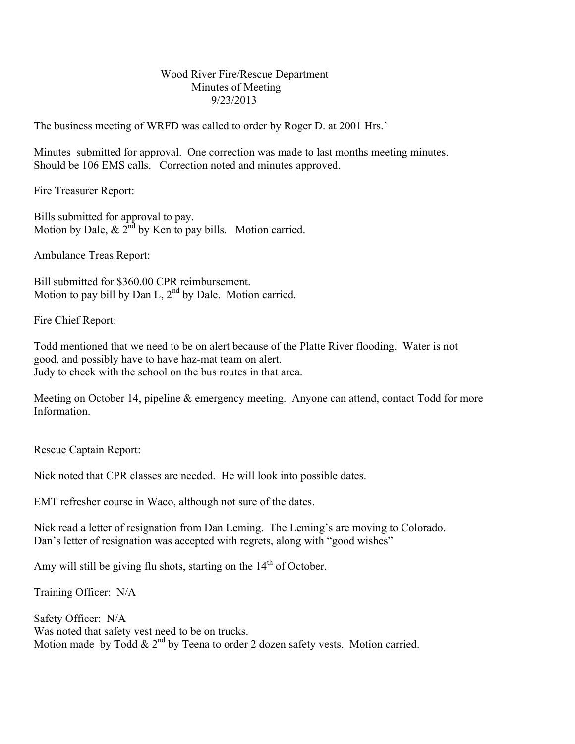## Wood River Fire/Rescue Department Minutes of Meeting 9/23/2013

The business meeting of WRFD was called to order by Roger D. at 2001 Hrs.'

Minutes submitted for approval. One correction was made to last months meeting minutes. Should be 106 EMS calls. Correction noted and minutes approved.

Fire Treasurer Report:

Bills submitted for approval to pay. Motion by Dale,  $\&$  2<sup>nd</sup> by Ken to pay bills. Motion carried.

Ambulance Treas Report:

Bill submitted for \$360.00 CPR reimbursement. Motion to pay bill by Dan L,  $2<sup>nd</sup>$  by Dale. Motion carried.

Fire Chief Report:

Todd mentioned that we need to be on alert because of the Platte River flooding. Water is not good, and possibly have to have haz-mat team on alert. Judy to check with the school on the bus routes in that area.

Meeting on October 14, pipeline & emergency meeting. Anyone can attend, contact Todd for more Information.

Rescue Captain Report:

Nick noted that CPR classes are needed. He will look into possible dates.

EMT refresher course in Waco, although not sure of the dates.

Nick read a letter of resignation from Dan Leming. The Leming's are moving to Colorado. Dan's letter of resignation was accepted with regrets, along with "good wishes"

Amy will still be giving flu shots, starting on the  $14<sup>th</sup>$  of October.

Training Officer: N/A

Safety Officer: N/A Was noted that safety vest need to be on trucks. Motion made by Todd  $& 2<sup>nd</sup>$  by Teena to order 2 dozen safety vests. Motion carried.